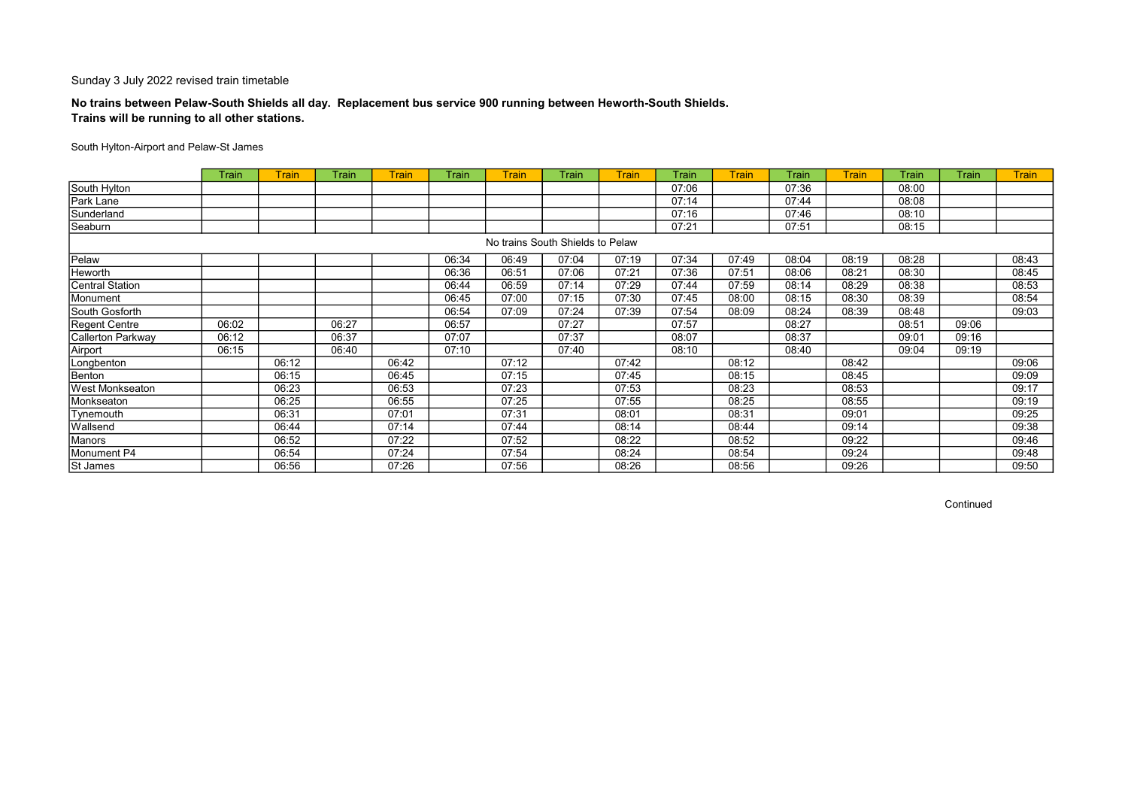## No trains between Pelaw-South Shields all day. Replacement bus service 900 running between Heworth-South Shields. Trains will be running to all other stations.

### South Hylton-Airport and Pelaw-St James

|                          | Train | <b>Train</b> | <b>Train</b> | <b>Train</b> | Train | <b>Train</b>                     | Train | <b>Train</b> | Train | <b>Train</b> | Train | <b>Train</b> | Train | Train | <b>Train</b> |
|--------------------------|-------|--------------|--------------|--------------|-------|----------------------------------|-------|--------------|-------|--------------|-------|--------------|-------|-------|--------------|
| South Hylton             |       |              |              |              |       |                                  |       |              | 07:06 |              | 07:36 |              | 08:00 |       |              |
| Park Lane                |       |              |              |              |       |                                  |       |              | 07:14 |              | 07:44 |              | 08:08 |       |              |
| Sunderland               |       |              |              |              |       |                                  |       |              | 07:16 |              | 07:46 |              | 08:10 |       |              |
| Seaburn                  |       |              |              |              |       |                                  |       |              | 07:21 |              | 07:51 |              | 08:15 |       |              |
|                          |       |              |              |              |       | No trains South Shields to Pelaw |       |              |       |              |       |              |       |       |              |
| Pelaw                    |       |              |              |              | 06:34 | 06:49                            | 07:04 | 07:19        | 07:34 | 07:49        | 08:04 | 08:19        | 08:28 |       | 08:43        |
| Heworth                  |       |              |              |              | 06:36 | 06:51                            | 07:06 | 07:21        | 07:36 | 07:51        | 08:06 | 08:21        | 08:30 |       | 08:45        |
| <b>Central Station</b>   |       |              |              |              | 06:44 | 06:59                            | 07:14 | 07:29        | 07:44 | 07:59        | 08:14 | 08:29        | 08:38 |       | 08:53        |
| Monument                 |       |              |              |              | 06:45 | 07:00                            | 07:15 | 07:30        | 07:45 | 08:00        | 08:15 | 08:30        | 08:39 |       | 08:54        |
| South Gosforth           |       |              |              |              | 06:54 | 07:09                            | 07:24 | 07:39        | 07:54 | 08:09        | 08:24 | 08:39        | 08:48 |       | 09:03        |
| <b>Regent Centre</b>     | 06:02 |              | 06:27        |              | 06:57 |                                  | 07:27 |              | 07:57 |              | 08:27 |              | 08:51 | 09:06 |              |
| <b>Callerton Parkway</b> | 06:12 |              | 06:37        |              | 07:07 |                                  | 07:37 |              | 08:07 |              | 08:37 |              | 09:01 | 09:16 |              |
| Airport                  | 06:15 |              | 06:40        |              | 07:10 |                                  | 07:40 |              | 08:10 |              | 08:40 |              | 09:04 | 09:19 |              |
| Longbenton               |       | 06:12        |              | 06:42        |       | 07:12                            |       | 07:42        |       | 08:12        |       | 08:42        |       |       | 09:06        |
| Benton                   |       | 06:15        |              | 06:45        |       | 07:15                            |       | 07:45        |       | 08:15        |       | 08:45        |       |       | 09:09        |
| <b>West Monkseaton</b>   |       | 06:23        |              | 06:53        |       | 07:23                            |       | 07:53        |       | 08:23        |       | 08:53        |       |       | 09:17        |
| Monkseaton               |       | 06:25        |              | 06:55        |       | 07:25                            |       | 07:55        |       | 08:25        |       | 08:55        |       |       | 09:19        |
| Tynemouth                |       | 06:31        |              | 07:01        |       | 07:31                            |       | 08:01        |       | 08:31        |       | 09:01        |       |       | 09:25        |
| Wallsend                 |       | 06:44        |              | 07:14        |       | 07:44                            |       | 08:14        |       | 08:44        |       | 09:14        |       |       | 09:38        |
| Manors                   |       | 06:52        |              | 07:22        |       | 07:52                            |       | 08:22        |       | 08:52        |       | 09:22        |       |       | 09:46        |
| Monument P4              |       | 06:54        |              | 07:24        |       | 07:54                            |       | 08:24        |       | 08:54        |       | 09:24        |       |       | 09:48        |
| St James                 |       | 06:56        |              | 07:26        |       | 07:56                            |       | 08:26        |       | 08:56        |       | 09:26        |       |       | 09:50        |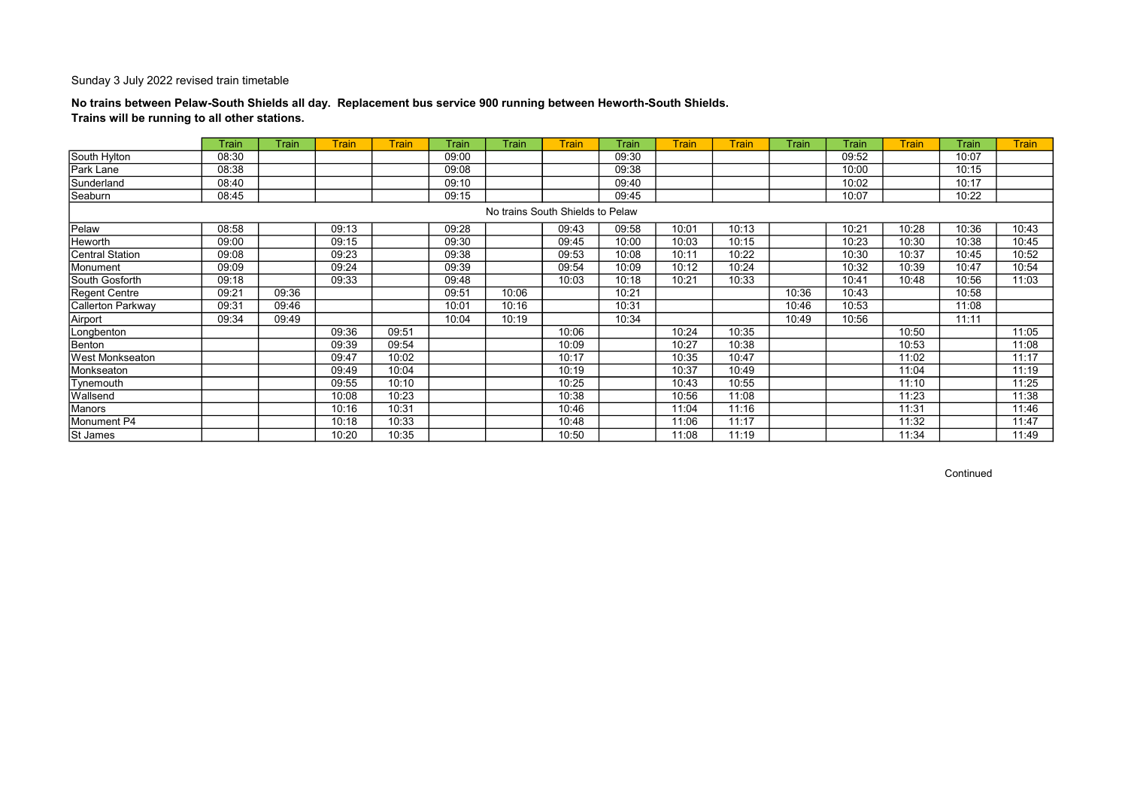## No trains between Pelaw-South Shields all day. Replacement bus service 900 running between Heworth-South Shields. Trains will be running to all other stations.

|                          | Train | Train | Train | <b>Train</b> | Train | Train | <b>Train</b>                     | Train | Train | <b>Train</b> | Train | Train | Train | Train | <b>Train</b> |
|--------------------------|-------|-------|-------|--------------|-------|-------|----------------------------------|-------|-------|--------------|-------|-------|-------|-------|--------------|
| South Hylton             | 08:30 |       |       |              | 09:00 |       |                                  | 09:30 |       |              |       | 09:52 |       | 10:07 |              |
| Park Lane                | 08:38 |       |       |              | 09:08 |       |                                  | 09:38 |       |              |       | 10:00 |       | 10:15 |              |
| Sunderland               | 08:40 |       |       |              | 09:10 |       |                                  | 09:40 |       |              |       | 10:02 |       | 10:17 |              |
| Seaburn                  | 08:45 |       |       |              | 09:15 |       |                                  | 09:45 |       |              |       | 10:07 |       | 10:22 |              |
|                          |       |       |       |              |       |       | No trains South Shields to Pelaw |       |       |              |       |       |       |       |              |
| Pelaw                    | 08:58 |       | 09:13 |              | 09:28 |       | 09:43                            | 09:58 | 10:01 | 10:13        |       | 10:21 | 10:28 | 10:36 | 10:43        |
| Heworth                  | 09:00 |       | 09:15 |              | 09:30 |       | 09:45                            | 10:00 | 10:03 | 10:15        |       | 10:23 | 10:30 | 10:38 | 10:45        |
| <b>Central Station</b>   | 09:08 |       | 09:23 |              | 09:38 |       | 09:53                            | 10:08 | 10:11 | 10:22        |       | 10:30 | 10:37 | 10:45 | 10:52        |
| Monument                 | 09:09 |       | 09:24 |              | 09:39 |       | 09:54                            | 10:09 | 10:12 | 10:24        |       | 10:32 | 10:39 | 10:47 | 10:54        |
| South Gosforth           | 09:18 |       | 09:33 |              | 09:48 |       | 10:03                            | 10:18 | 10:21 | 10:33        |       | 10:41 | 10:48 | 10:56 | 11:03        |
| Regent Centre            | 09:21 | 09:36 |       |              | 09:51 | 10:06 |                                  | 10:21 |       |              | 10:36 | 10:43 |       | 10:58 |              |
| <b>Callerton Parkway</b> | 09:31 | 09:46 |       |              | 10:01 | 10:16 |                                  | 10:31 |       |              | 10:46 | 10:53 |       | 11:08 |              |
| Airport                  | 09:34 | 09:49 |       |              | 10:04 | 10:19 |                                  | 10:34 |       |              | 10:49 | 10:56 |       | 11:11 |              |
| Longbenton               |       |       | 09:36 | 09:51        |       |       | 10:06                            |       | 10:24 | 10:35        |       |       | 10:50 |       | 11:05        |
| Benton                   |       |       | 09:39 | 09:54        |       |       | 10:09                            |       | 10:27 | 10:38        |       |       | 10:53 |       | 11:08        |
| West Monkseaton          |       |       | 09:47 | 10:02        |       |       | 10:17                            |       | 10:35 | 10:47        |       |       | 11:02 |       | 11:17        |
| Monkseaton               |       |       | 09:49 | 10:04        |       |       | 10:19                            |       | 10:37 | 10:49        |       |       | 11:04 |       | 11:19        |
| Tynemouth                |       |       | 09:55 | 10:10        |       |       | 10:25                            |       | 10:43 | 10:55        |       |       | 11:10 |       | 11:25        |
| Wallsend                 |       |       | 10:08 | 10:23        |       |       | 10:38                            |       | 10:56 | 11:08        |       |       | 11:23 |       | 11:38        |
| Manors                   |       |       | 10:16 | 10:31        |       |       | 10:46                            |       | 11:04 | 11:16        |       |       | 11:31 |       | 11:46        |
| Monument P4              |       |       | 10:18 | 10:33        |       |       | 10:48                            |       | 11:06 | 11:17        |       |       | 11:32 |       | 11:47        |
| St James                 |       |       | 10:20 | 10:35        |       |       | 10:50                            |       | 11:08 | 11:19        |       |       | 11:34 |       | 11:49        |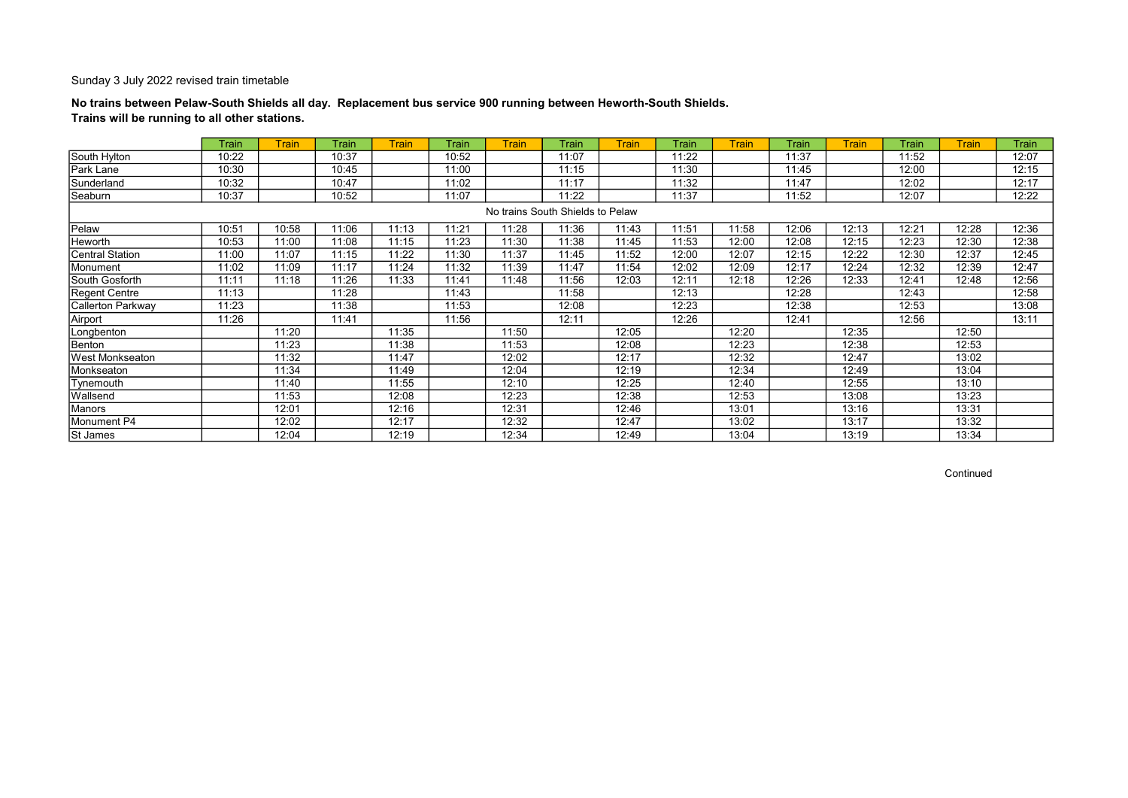## No trains between Pelaw-South Shields all day. Replacement bus service 900 running between Heworth-South Shields. Trains will be running to all other stations.

|                   | Train | <b>Train</b> | Train | <b>Train</b> | Train | <b>Train</b>                     | Train | <b>Train</b> | Train | <b>Train</b> | Train | <b>Train</b> | Train | <b>Train</b> | Train |
|-------------------|-------|--------------|-------|--------------|-------|----------------------------------|-------|--------------|-------|--------------|-------|--------------|-------|--------------|-------|
| South Hylton      | 10:22 |              | 10:37 |              | 10:52 |                                  | 11:07 |              | 11:22 |              | 11:37 |              | 11:52 |              | 12:07 |
| Park Lane         | 10:30 |              | 10:45 |              | 11:00 |                                  | 11:15 |              | 11:30 |              | 11:45 |              | 12:00 |              | 12:15 |
| Sunderland        | 10:32 |              | 10:47 |              | 11:02 |                                  | 11:17 |              | 11:32 |              | 11:47 |              | 12:02 |              | 12:17 |
| Seaburn           | 10:37 |              | 10:52 |              | 11:07 |                                  | 11:22 |              | 11:37 |              | 11:52 |              | 12:07 |              | 12:22 |
|                   |       |              |       |              |       | No trains South Shields to Pelaw |       |              |       |              |       |              |       |              |       |
| Pelaw             | 10:51 | 10:58        | 11:06 | 11:13        | 11:21 | 11:28                            | 11:36 | 11:43        | 11:51 | 11:58        | 12:06 | 12:13        | 12:21 | 12:28        | 12:36 |
| Heworth           | 10:53 | 11:00        | 11:08 | 11:15        | 11:23 | 11:30                            | 11:38 | 11:45        | 11:53 | 12:00        | 12:08 | 12:15        | 12:23 | 12:30        | 12:38 |
| Central Station   | 11:00 | 11:07        | 11:15 | 11:22        | 11:30 | 11:37                            | 11:45 | 11:52        | 12:00 | 12:07        | 12:15 | 12:22        | 12:30 | 12:37        | 12:45 |
| Monument          | 11:02 | 11:09        | 11:17 | 11:24        | 11:32 | 11:39                            | 11:47 | 11:54        | 12:02 | 12:09        | 12:17 | 12:24        | 12:32 | 12:39        | 12:47 |
| South Gosforth    | 11:11 | 11:18        | 11:26 | 11:33        | 11:41 | 11:48                            | 11:56 | 12:03        | 12:11 | 12:18        | 12:26 | 12:33        | 12:41 | 12:48        | 12:56 |
| Regent Centre     | 11:13 |              | 11:28 |              | 11:43 |                                  | 11:58 |              | 12:13 |              | 12:28 |              | 12:43 |              | 12:58 |
| Callerton Parkway | 11:23 |              | 11:38 |              | 11:53 |                                  | 12:08 |              | 12:23 |              | 12:38 |              | 12:53 |              | 13:08 |
| Airport           | 11:26 |              | 11:41 |              | 11:56 |                                  | 12:11 |              | 12:26 |              | 12:41 |              | 12:56 |              | 13:11 |
| Longbenton        |       | 11:20        |       | 11:35        |       | 11:50                            |       | 12:05        |       | 12:20        |       | 12:35        |       | 12:50        |       |
| Benton            |       | 11:23        |       | 11:38        |       | 11:53                            |       | 12:08        |       | 12:23        |       | 12:38        |       | 12:53        |       |
| West Monkseaton   |       | 11:32        |       | 11:47        |       | 12:02                            |       | 12:17        |       | 12:32        |       | 12:47        |       | 13:02        |       |
| Monkseaton        |       | 11:34        |       | 11:49        |       | 12:04                            |       | 12:19        |       | 12:34        |       | 12:49        |       | 13:04        |       |
| Tynemouth         |       | 11:40        |       | 11:55        |       | 12:10                            |       | 12:25        |       | 12:40        |       | 12:55        |       | 13:10        |       |
| Wallsend          |       | 11:53        |       | 12:08        |       | 12:23                            |       | 12:38        |       | 12:53        |       | 13:08        |       | 13:23        |       |
| Manors            |       | 12:01        |       | 12:16        |       | 12:31                            |       | 12:46        |       | 13:01        |       | 13:16        |       | 13:31        |       |
| Monument P4       |       | 12:02        |       | 12:17        |       | 12:32                            |       | 12:47        |       | 13:02        |       | 13:17        |       | 13:32        |       |
| <b>St James</b>   |       | 12:04        |       | 12:19        |       | 12:34                            |       | 12:49        |       | 13:04        |       | 13:19        |       | 13:34        |       |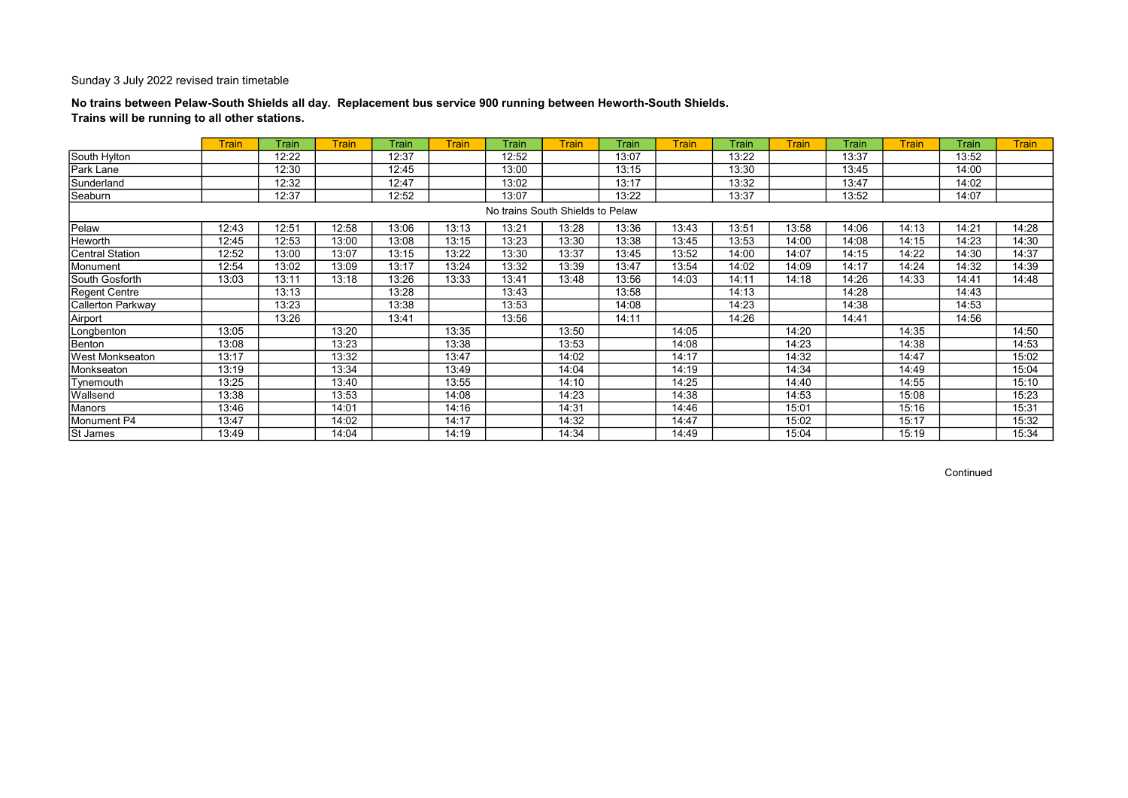## No trains between Pelaw-South Shields all day. Replacement bus service 900 running between Heworth-South Shields. Trains will be running to all other stations.

|                          | <b>Train</b> | Train | Train | Train | <b>Train</b> | Train                            | <b>Train</b> | Train | Train | Train | <b>Train</b> | Train | Train | Train | <b>Train</b> |
|--------------------------|--------------|-------|-------|-------|--------------|----------------------------------|--------------|-------|-------|-------|--------------|-------|-------|-------|--------------|
| South Hylton             |              | 12:22 |       | 12:37 |              | 12:52                            |              | 13:07 |       | 13:22 |              | 13:37 |       | 13:52 |              |
| Park Lane                |              | 12:30 |       | 12:45 |              | 13:00                            |              | 13:15 |       | 13:30 |              | 13:45 |       | 14:00 |              |
| Sunderland               |              | 12:32 |       | 12:47 |              | 13:02                            |              | 13:17 |       | 13:32 |              | 13:47 |       | 14:02 |              |
| Seaburn                  |              | 12:37 |       | 12:52 |              | 13:07                            |              | 13:22 |       | 13:37 |              | 13:52 |       | 14:07 |              |
|                          |              |       |       |       |              | No trains South Shields to Pelaw |              |       |       |       |              |       |       |       |              |
| Pelaw                    | 12:43        | 12:51 | 12:58 | 13:06 | 13:13        | 13:21                            | 13:28        | 13:36 | 13:43 | 13:51 | 13:58        | 14:06 | 14:13 | 14:21 | 14:28        |
| Heworth                  | 12:45        | 12:53 | 13:00 | 13:08 | 13:15        | 13:23                            | 13:30        | 13:38 | 13:45 | 13:53 | 14:00        | 14:08 | 14:15 | 14:23 | 14:30        |
| <b>Central Station</b>   | 12:52        | 13:00 | 13:07 | 13:15 | 13:22        | 13:30                            | 13:37        | 13:45 | 13:52 | 14:00 | 14:07        | 14:15 | 14:22 | 14:30 | 14:37        |
| Monument                 | 12:54        | 13:02 | 13:09 | 13:17 | 13:24        | 13:32                            | 13:39        | 13:47 | 13:54 | 14:02 | 14:09        | 14:17 | 14:24 | 14:32 | 14:39        |
| South Gosforth           | 13:03        | 13:11 | 13:18 | 13:26 | 13:33        | 13:41                            | 13:48        | 13:56 | 14:03 | 14:11 | 14:18        | 14:26 | 14:33 | 14:41 | 14:48        |
| <b>Regent Centre</b>     |              | 13:13 |       | 13:28 |              | 13:43                            |              | 13:58 |       | 14:13 |              | 14:28 |       | 14:43 |              |
| <b>Callerton Parkway</b> |              | 13:23 |       | 13:38 |              | 13:53                            |              | 14:08 |       | 14:23 |              | 14:38 |       | 14:53 |              |
| Airport                  |              | 13:26 |       | 13:41 |              | 13:56                            |              | 14:11 |       | 14:26 |              | 14:41 |       | 14:56 |              |
| Longbenton               | 13:05        |       | 13:20 |       | 13:35        |                                  | 13:50        |       | 14:05 |       | 14:20        |       | 14:35 |       | 14:50        |
| Benton                   | 13:08        |       | 13:23 |       | 13:38        |                                  | 13:53        |       | 14:08 |       | 14:23        |       | 14:38 |       | 14:53        |
| West Monkseaton          | 13:17        |       | 13:32 |       | 13:47        |                                  | 14:02        |       | 14:17 |       | 14:32        |       | 14:47 |       | 15:02        |
| Monkseaton               | 13:19        |       | 13:34 |       | 13:49        |                                  | 14:04        |       | 14:19 |       | 14:34        |       | 14:49 |       | 15:04        |
| Tynemouth                | 13:25        |       | 13:40 |       | 13:55        |                                  | 14:10        |       | 14:25 |       | 14:40        |       | 14:55 |       | 15:10        |
| Wallsend                 | 13:38        |       | 13:53 |       | 14:08        |                                  | 14:23        |       | 14:38 |       | 14:53        |       | 15:08 |       | 15:23        |
| Manors                   | 13:46        |       | 14:01 |       | 14:16        |                                  | 14:31        |       | 14:46 |       | 15:01        |       | 15:16 |       | 15:31        |
| Monument P4              | 13:47        |       | 14:02 |       | 14:17        |                                  | 14:32        |       | 14:47 |       | 15:02        |       | 15:17 |       | 15:32        |
| St James                 | 13:49        |       | 14:04 |       | 14:19        |                                  | 14:34        |       | 14:49 |       | 15:04        |       | 15:19 |       | 15:34        |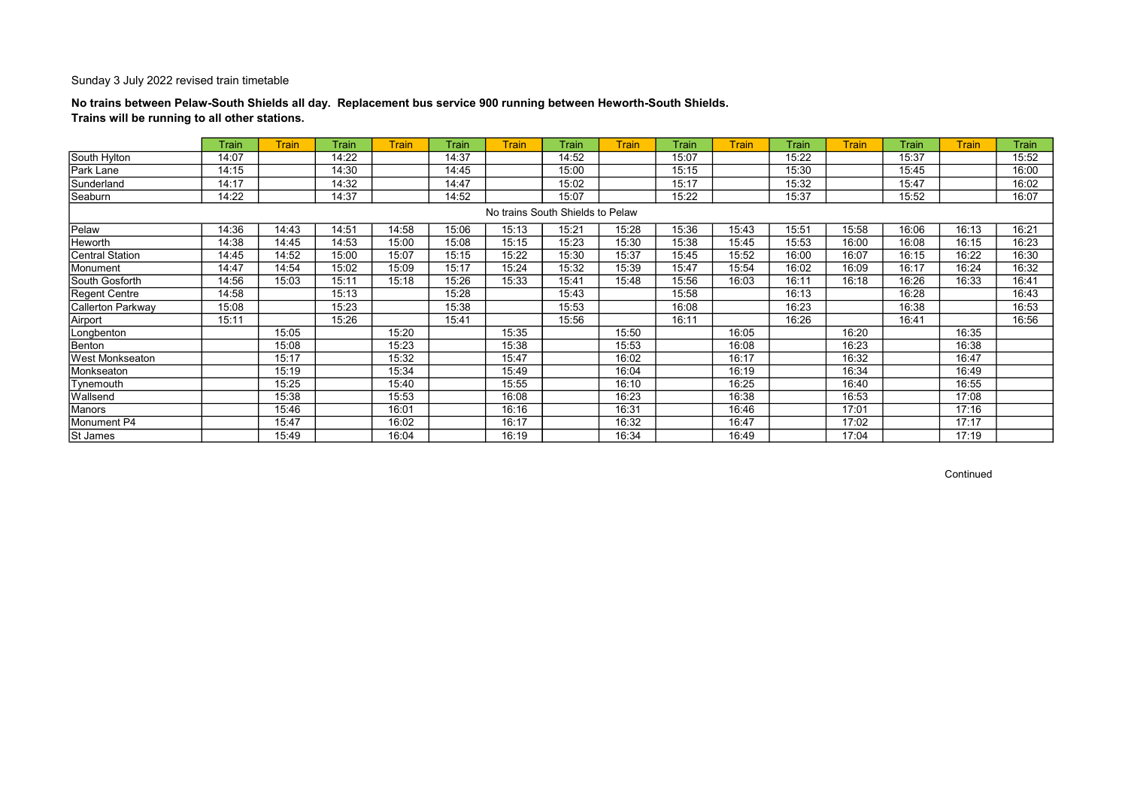## No trains between Pelaw-South Shields all day. Replacement bus service 900 running between Heworth-South Shields. Trains will be running to all other stations.

|                        | Train | <b>Train</b> | <b>Train</b> | <b>Train</b> | Train | <b>Train</b> | Train                            | Train | Train | <b>Train</b> | Train | <b>Train</b> | Train | <b>Train</b> | Train |
|------------------------|-------|--------------|--------------|--------------|-------|--------------|----------------------------------|-------|-------|--------------|-------|--------------|-------|--------------|-------|
| South Hylton           | 14:07 |              | 14:22        |              | 14:37 |              | 14:52                            |       | 15:07 |              | 15:22 |              | 15:37 |              | 15:52 |
| Park Lane              | 14:15 |              | 14:30        |              | 14:45 |              | 15:00                            |       | 15:15 |              | 15:30 |              | 15:45 |              | 16:00 |
| Sunderland             | 14:17 |              | 14:32        |              | 14:47 |              | 15:02                            |       | 15:17 |              | 15:32 |              | 15:47 |              | 16:02 |
| Seaburn                | 14:22 |              | 14:37        |              | 14:52 |              | 15:07                            |       | 15:22 |              | 15:37 |              | 15:52 |              | 16:07 |
|                        |       |              |              |              |       |              | No trains South Shields to Pelaw |       |       |              |       |              |       |              |       |
| Pelaw                  | 14:36 | 14:43        | 14:51        | 14:58        | 15:06 | 15:13        | 15:21                            | 15:28 | 15:36 | 15:43        | 15:51 | 15:58        | 16:06 | 16:13        | 16:21 |
| Heworth                | 14:38 | 14:45        | 14:53        | 15:00        | 15:08 | 15:15        | 15:23                            | 15:30 | 15:38 | 15:45        | 15:53 | 16:00        | 16:08 | 16:15        | 16:23 |
| <b>Central Station</b> | 14:45 | 14:52        | 15:00        | 15:07        | 15:15 | 15:22        | 15:30                            | 15:37 | 15:45 | 15:52        | 16:00 | 16:07        | 16:15 | 16:22        | 16:30 |
| Monument               | 14:47 | 14:54        | 15:02        | 15:09        | 15:17 | 15:24        | 15:32                            | 15:39 | 15:47 | 15:54        | 16:02 | 16:09        | 16:17 | 16:24        | 16:32 |
| South Gosforth         | 14:56 | 15:03        | 15:11        | 15:18        | 15:26 | 15:33        | 15:41                            | 15:48 | 15:56 | 16:03        | 16:11 | 16:18        | 16:26 | 16:33        | 16:41 |
| Regent Centre          | 14:58 |              | 15:13        |              | 15:28 |              | 15:43                            |       | 15:58 |              | 16:13 |              | 16:28 |              | 16:43 |
| Callerton Parkway      | 15:08 |              | 15:23        |              | 15:38 |              | 15:53                            |       | 16:08 |              | 16:23 |              | 16:38 |              | 16:53 |
| Airport                | 15:11 |              | 15:26        |              | 15:41 |              | 15:56                            |       | 16:11 |              | 16:26 |              | 16:41 |              | 16:56 |
| Longbenton             |       | 15:05        |              | 15:20        |       | 15:35        |                                  | 15:50 |       | 16:05        |       | 16:20        |       | 16:35        |       |
| Benton                 |       | 15:08        |              | 15:23        |       | 15:38        |                                  | 15:53 |       | 16:08        |       | 16:23        |       | 16:38        |       |
| West Monkseaton        |       | 15:17        |              | 15:32        |       | 15:47        |                                  | 16:02 |       | 16:17        |       | 16:32        |       | 16:47        |       |
| Monkseaton             |       | 15:19        |              | 15:34        |       | 15:49        |                                  | 16:04 |       | 16:19        |       | 16:34        |       | 16:49        |       |
| Tynemouth              |       | 15:25        |              | 15:40        |       | 15:55        |                                  | 16:10 |       | 16:25        |       | 16:40        |       | 16:55        |       |
| Wallsend               |       | 15:38        |              | 15:53        |       | 16:08        |                                  | 16:23 |       | 16:38        |       | 16:53        |       | 17:08        |       |
| Manors                 |       | 15:46        |              | 16:01        |       | 16:16        |                                  | 16:31 |       | 16:46        |       | 17:01        |       | 17:16        |       |
| Monument P4            |       | 15:47        |              | 16:02        |       | 16:17        |                                  | 16:32 |       | 16:47        |       | 17:02        |       | 17:17        |       |
| St James               |       | 15:49        |              | 16:04        |       | 16:19        |                                  | 16:34 |       | 16:49        |       | 17:04        |       | 17:19        |       |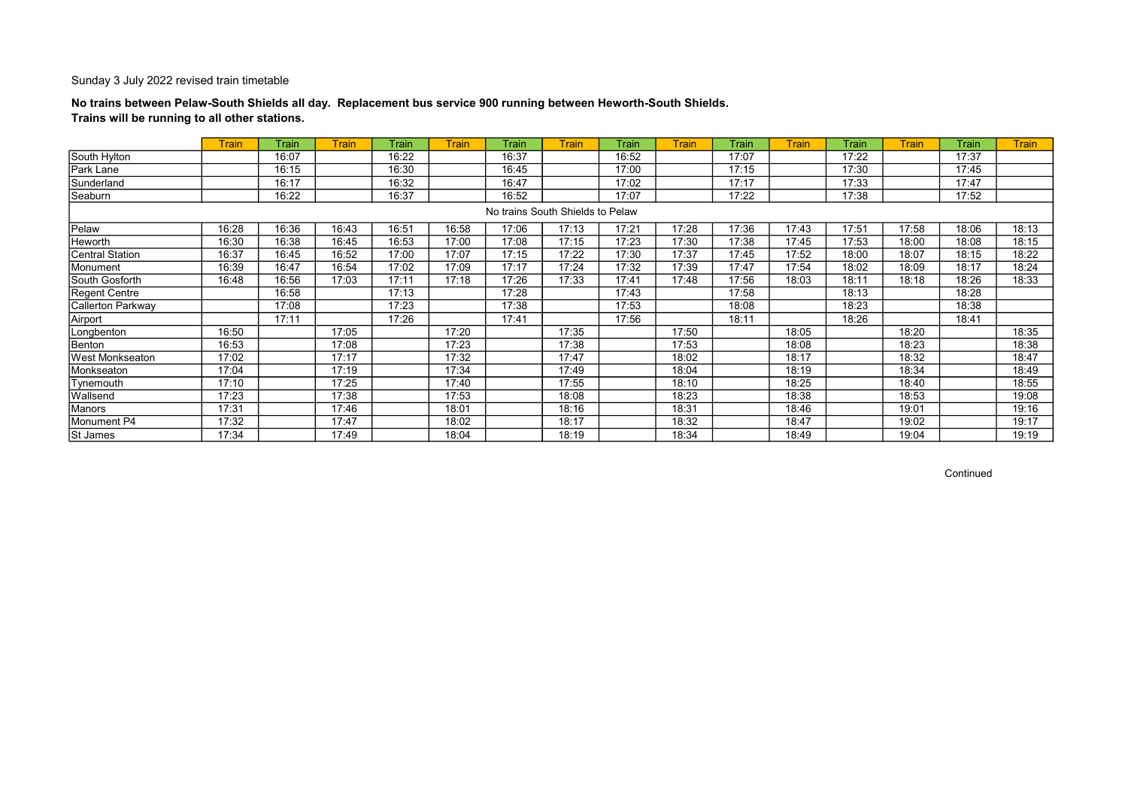## No trains between Pelaw-South Shields all day. Replacement bus service 900 running between Heworth-South Shields. Trains will be running to all other stations.

|                        | <b>Train</b> | Train | <b>Train</b> | Train | <b>Train</b> | Train                            | <b>Train</b> | Train | <b>Train</b> | Train | <b>Train</b> | Train | <b>Train</b> | Train | <b>Train</b> |
|------------------------|--------------|-------|--------------|-------|--------------|----------------------------------|--------------|-------|--------------|-------|--------------|-------|--------------|-------|--------------|
| South Hylton           |              | 16:07 |              | 16:22 |              | 16:37                            |              | 16:52 |              | 17:07 |              | 17:22 |              | 17:37 |              |
| Park Lane              |              | 16:15 |              | 16:30 |              | 16:45                            |              | 17:00 |              | 17:15 |              | 17:30 |              | 17:45 |              |
| Sunderland             |              | 16:17 |              | 16:32 |              | 16:47                            |              | 17:02 |              | 17:17 |              | 17:33 |              | 17:47 |              |
| Seaburn                |              | 16:22 |              | 16:37 |              | 16:52                            |              | 17:07 |              | 17:22 |              | 17:38 |              | 17:52 |              |
|                        |              |       |              |       |              | No trains South Shields to Pelaw |              |       |              |       |              |       |              |       |              |
| Pelaw                  | 16:28        | 16:36 | 16:43        | 16:51 | 16:58        | 17:06                            | 17:13        | 17:21 | 17:28        | 17:36 | 17:43        | 17:51 | 17:58        | 18:06 | 18:13        |
| Heworth                | 16:30        | 16:38 | 16:45        | 16:53 | 17:00        | 17:08                            | 17:15        | 17:23 | 17:30        | 17:38 | 17:45        | 17:53 | 18:00        | 18:08 | 18:15        |
| <b>Central Station</b> | 16:37        | 16:45 | 16:52        | 17:00 | 17:07        | 17:15                            | 17:22        | 17:30 | 17:37        | 17:45 | 17:52        | 18:00 | 18:07        | 18:15 | 18:22        |
| Monument               | 16:39        | 16:47 | 16:54        | 17:02 | 17:09        | 17:17                            | 17:24        | 17:32 | 17:39        | 17:47 | 17:54        | 18:02 | 18:09        | 18:17 | 18:24        |
| South Gosforth         | 16:48        | 16:56 | 17:03        | 17:11 | 17:18        | 17:26                            | 17:33        | 17:41 | 17:48        | 17:56 | 18:03        | 18:11 | 18:18        | 18:26 | 18:33        |
| Regent Centre          |              | 16:58 |              | 17:13 |              | 17:28                            |              | 17:43 |              | 17:58 |              | 18:13 |              | 18:28 |              |
| Callerton Parkway      |              | 17:08 |              | 17:23 |              | 17:38                            |              | 17:53 |              | 18:08 |              | 18:23 |              | 18:38 |              |
| Airport                |              | 17:11 |              | 17:26 |              | 17:41                            |              | 17:56 |              | 18:11 |              | 18:26 |              | 18:41 |              |
| Longbenton             | 16:50        |       | 17:05        |       | 17:20        |                                  | 17:35        |       | 17:50        |       | 18:05        |       | 18:20        |       | 18:35        |
| Benton                 | 16:53        |       | 17:08        |       | 17:23        |                                  | 17:38        |       | 17:53        |       | 18:08        |       | 18:23        |       | 18:38        |
| West Monkseaton        | 17:02        |       | 17:17        |       | 17:32        |                                  | 17:47        |       | 18:02        |       | 18:17        |       | 18:32        |       | 18:47        |
| Monkseaton             | 17:04        |       | 17:19        |       | 17:34        |                                  | 17:49        |       | 18:04        |       | 18:19        |       | 18:34        |       | 18:49        |
| Tynemouth              | 17:10        |       | 17:25        |       | 17:40        |                                  | 17:55        |       | 18:10        |       | 18:25        |       | 18:40        |       | 18:55        |
| Wallsend               | 17:23        |       | 17:38        |       | 17:53        |                                  | 18:08        |       | 18:23        |       | 18:38        |       | 18:53        |       | 19:08        |
| Manors                 | 17:31        |       | 17:46        |       | 18:01        |                                  | 18:16        |       | 18:31        |       | 18:46        |       | 19:01        |       | 19:16        |
| Monument P4            | 17:32        |       | 17:47        |       | 18:02        |                                  | 18:17        |       | 18:32        |       | 18:47        |       | 19:02        |       | 19:17        |
| St James               | 17:34        |       | 17:49        |       | 18:04        |                                  | 18:19        |       | 18:34        |       | 18:49        |       | 19:04        |       | 19:19        |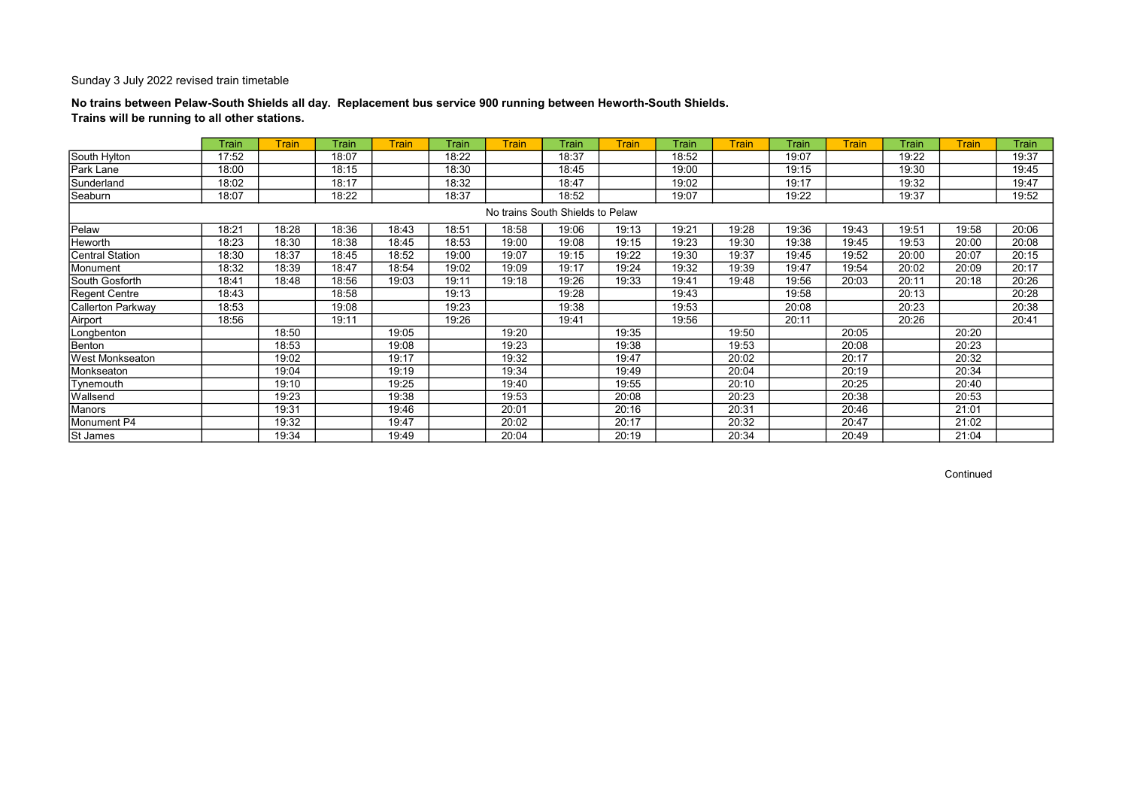## No trains between Pelaw-South Shields all day. Replacement bus service 900 running between Heworth-South Shields. Trains will be running to all other stations.

|                        | Train | Train | Train | <b>Train</b> | Train | <b>Train</b> | Train                            | Train | Train | <b>Train</b> | Train | <b>Train</b> | Train | <b>Train</b> | Train |
|------------------------|-------|-------|-------|--------------|-------|--------------|----------------------------------|-------|-------|--------------|-------|--------------|-------|--------------|-------|
| South Hylton           | 17:52 |       | 18:07 |              | 18:22 |              | 18:37                            |       | 18:52 |              | 19:07 |              | 19:22 |              | 19:37 |
| Park Lane              | 18:00 |       | 18:15 |              | 18:30 |              | 18:45                            |       | 19:00 |              | 19:15 |              | 19:30 |              | 19:45 |
| Sunderland             | 18:02 |       | 18:17 |              | 18:32 |              | 18:47                            |       | 19:02 |              | 19:17 |              | 19:32 |              | 19:47 |
| Seaburn                | 18:07 |       | 18:22 |              | 18:37 |              | 18:52                            |       | 19:07 |              | 19:22 |              | 19:37 |              | 19:52 |
|                        |       |       |       |              |       |              | No trains South Shields to Pelaw |       |       |              |       |              |       |              |       |
| Pelaw                  | 18:21 | 18:28 | 18:36 | 18:43        | 18:51 | 18:58        | 19:06                            | 19:13 | 19:21 | 19:28        | 19:36 | 19:43        | 19:51 | 19:58        | 20:06 |
| Heworth                | 18:23 | 18:30 | 18:38 | 18:45        | 18:53 | 19:00        | 19:08                            | 19:15 | 19:23 | 19:30        | 19:38 | 19:45        | 19:53 | 20:00        | 20:08 |
| <b>Central Station</b> | 18:30 | 18:37 | 18:45 | 18:52        | 19:00 | 19:07        | 19:15                            | 19:22 | 19:30 | 19:37        | 19:45 | 19:52        | 20:00 | 20:07        | 20:15 |
| Monument               | 18:32 | 18:39 | 18:47 | 18:54        | 19:02 | 19:09        | 19:17                            | 19:24 | 19:32 | 19:39        | 19:47 | 19:54        | 20:02 | 20:09        | 20:17 |
| South Gosforth         | 18:41 | 18:48 | 18:56 | 19:03        | 19:11 | 19:18        | 19:26                            | 19:33 | 19:41 | 19:48        | 19:56 | 20:03        | 20:11 | 20:18        | 20:26 |
| <b>Regent Centre</b>   | 18:43 |       | 18:58 |              | 19:13 |              | 19:28                            |       | 19:43 |              | 19:58 |              | 20:13 |              | 20:28 |
| Callerton Parkway      | 18:53 |       | 19:08 |              | 19:23 |              | 19:38                            |       | 19:53 |              | 20:08 |              | 20:23 |              | 20:38 |
| Airport                | 18:56 |       | 19:11 |              | 19:26 |              | 19:41                            |       | 19:56 |              | 20:11 |              | 20:26 |              | 20:41 |
| Longbenton             |       | 18:50 |       | 19:05        |       | 19:20        |                                  | 19:35 |       | 19:50        |       | 20:05        |       | 20:20        |       |
| Benton                 |       | 18:53 |       | 19:08        |       | 19:23        |                                  | 19:38 |       | 19:53        |       | 20:08        |       | 20:23        |       |
| West Monkseaton        |       | 19:02 |       | 19:17        |       | 19:32        |                                  | 19:47 |       | 20:02        |       | 20:17        |       | 20:32        |       |
| Monkseaton             |       | 19:04 |       | 19:19        |       | 19:34        |                                  | 19:49 |       | 20:04        |       | 20:19        |       | 20:34        |       |
| Tynemouth              |       | 19:10 |       | 19:25        |       | 19:40        |                                  | 19:55 |       | 20:10        |       | 20:25        |       | 20:40        |       |
| Wallsend               |       | 19:23 |       | 19:38        |       | 19:53        |                                  | 20:08 |       | 20:23        |       | 20:38        |       | 20:53        |       |
| Manors                 |       | 19:31 |       | 19:46        |       | 20:01        |                                  | 20:16 |       | 20:31        |       | 20:46        |       | 21:01        |       |
| Monument P4            |       | 19:32 |       | 19:47        |       | 20:02        |                                  | 20:17 |       | 20:32        |       | 20:47        |       | 21:02        |       |
| St James               |       | 19:34 |       | 19:49        |       | 20:04        |                                  | 20:19 |       | 20:34        |       | 20:49        |       | 21:04        |       |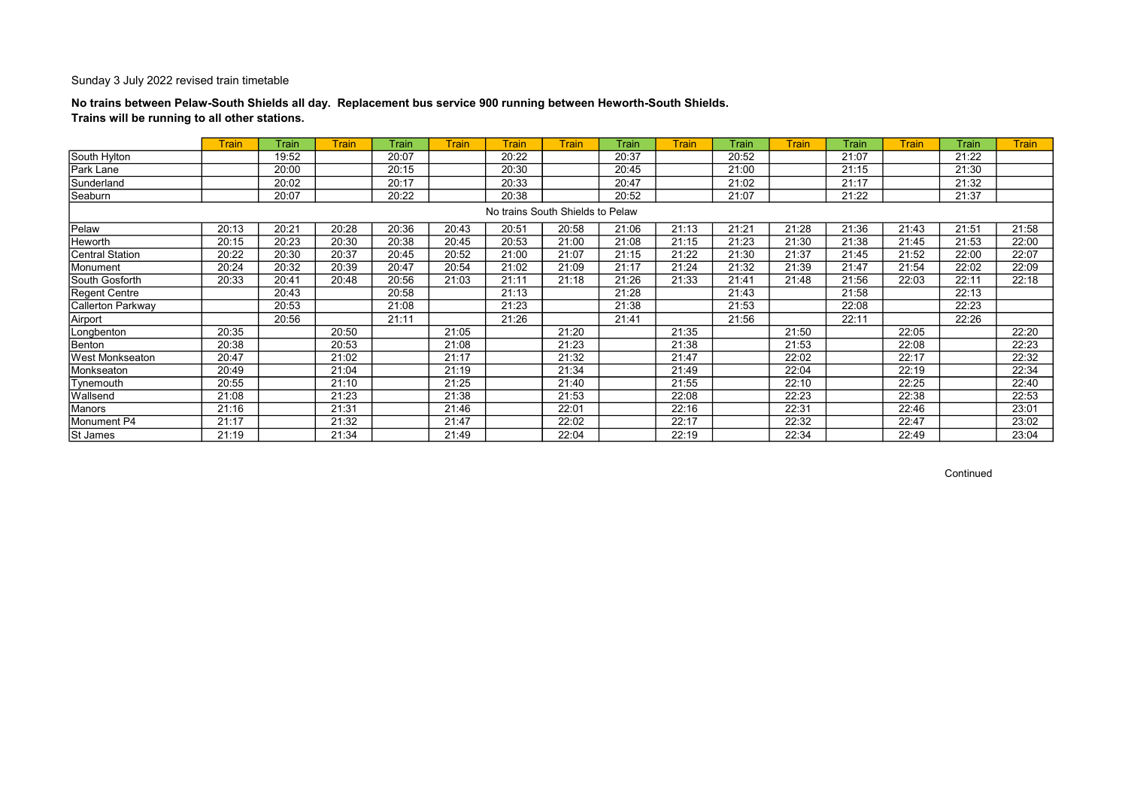## No trains between Pelaw-South Shields all day. Replacement bus service 900 running between Heworth-South Shields. Trains will be running to all other stations.

|                          | <b>Train</b> | Train | Train | Train | <b>Train</b> | <b>Train</b>                     | <b>Train</b> | Train | Train | Train | <b>Train</b> | Train | Train | Train | <b>Train</b> |
|--------------------------|--------------|-------|-------|-------|--------------|----------------------------------|--------------|-------|-------|-------|--------------|-------|-------|-------|--------------|
| South Hylton             |              | 19:52 |       | 20:07 |              | 20:22                            |              | 20:37 |       | 20:52 |              | 21:07 |       | 21:22 |              |
| Park Lane                |              | 20:00 |       | 20:15 |              | 20:30                            |              | 20:45 |       | 21:00 |              | 21:15 |       | 21:30 |              |
| Sunderland               |              | 20:02 |       | 20:17 |              | 20:33                            |              | 20:47 |       | 21:02 |              | 21:17 |       | 21:32 |              |
| Seaburn                  |              | 20:07 |       | 20:22 |              | 20:38                            |              | 20:52 |       | 21:07 |              | 21:22 |       | 21:37 |              |
|                          |              |       |       |       |              | No trains South Shields to Pelaw |              |       |       |       |              |       |       |       |              |
| Pelaw                    | 20:13        | 20:21 | 20:28 | 20:36 | 20:43        | 20:51                            | 20:58        | 21:06 | 21:13 | 21:21 | 21:28        | 21:36 | 21:43 | 21:51 | 21:58        |
| Heworth                  | 20:15        | 20:23 | 20:30 | 20:38 | 20:45        | 20:53                            | 21:00        | 21:08 | 21:15 | 21:23 | 21:30        | 21:38 | 21:45 | 21:53 | 22:00        |
| <b>Central Station</b>   | 20:22        | 20:30 | 20:37 | 20:45 | 20:52        | 21:00                            | 21:07        | 21:15 | 21:22 | 21:30 | 21:37        | 21:45 | 21:52 | 22:00 | 22:07        |
| Monument                 | 20:24        | 20:32 | 20:39 | 20:47 | 20:54        | 21:02                            | 21:09        | 21:17 | 21:24 | 21:32 | 21:39        | 21:47 | 21:54 | 22:02 | 22:09        |
| South Gosforth           | 20:33        | 20:41 | 20:48 | 20:56 | 21:03        | 21:11                            | 21:18        | 21:26 | 21:33 | 21:41 | 21:48        | 21:56 | 22:03 | 22:11 | 22:18        |
| Regent Centre            |              | 20:43 |       | 20:58 |              | 21:13                            |              | 21:28 |       | 21:43 |              | 21:58 |       | 22:13 |              |
| <b>Callerton Parkway</b> |              | 20:53 |       | 21:08 |              | 21:23                            |              | 21:38 |       | 21:53 |              | 22:08 |       | 22:23 |              |
| Airport                  |              | 20:56 |       | 21:11 |              | 21:26                            |              | 21:41 |       | 21:56 |              | 22:11 |       | 22:26 |              |
| Longbenton               | 20:35        |       | 20:50 |       | 21:05        |                                  | 21:20        |       | 21:35 |       | 21:50        |       | 22:05 |       | 22:20        |
| Benton                   | 20:38        |       | 20:53 |       | 21:08        |                                  | 21:23        |       | 21:38 |       | 21:53        |       | 22:08 |       | 22:23        |
| <b>West Monkseaton</b>   | 20:47        |       | 21:02 |       | 21:17        |                                  | 21:32        |       | 21:47 |       | 22:02        |       | 22:17 |       | 22:32        |
| Monkseaton               | 20:49        |       | 21:04 |       | 21:19        |                                  | 21:34        |       | 21:49 |       | 22:04        |       | 22:19 |       | 22:34        |
| Tynemouth                | 20:55        |       | 21:10 |       | 21:25        |                                  | 21:40        |       | 21:55 |       | 22:10        |       | 22:25 |       | 22:40        |
| Wallsend                 | 21:08        |       | 21:23 |       | 21:38        |                                  | 21:53        |       | 22:08 |       | 22:23        |       | 22:38 |       | 22:53        |
| Manors                   | 21:16        |       | 21:31 |       | 21:46        |                                  | 22:01        |       | 22:16 |       | 22:31        |       | 22:46 |       | 23:01        |
| Monument P4              | 21:17        |       | 21:32 |       | 21:47        |                                  | 22:02        |       | 22:17 |       | 22:32        |       | 22:47 |       | 23:02        |
| St James                 | 21:19        |       | 21:34 |       | 21:49        |                                  | 22:04        |       | 22:19 |       | 22:34        |       | 22:49 |       | 23:04        |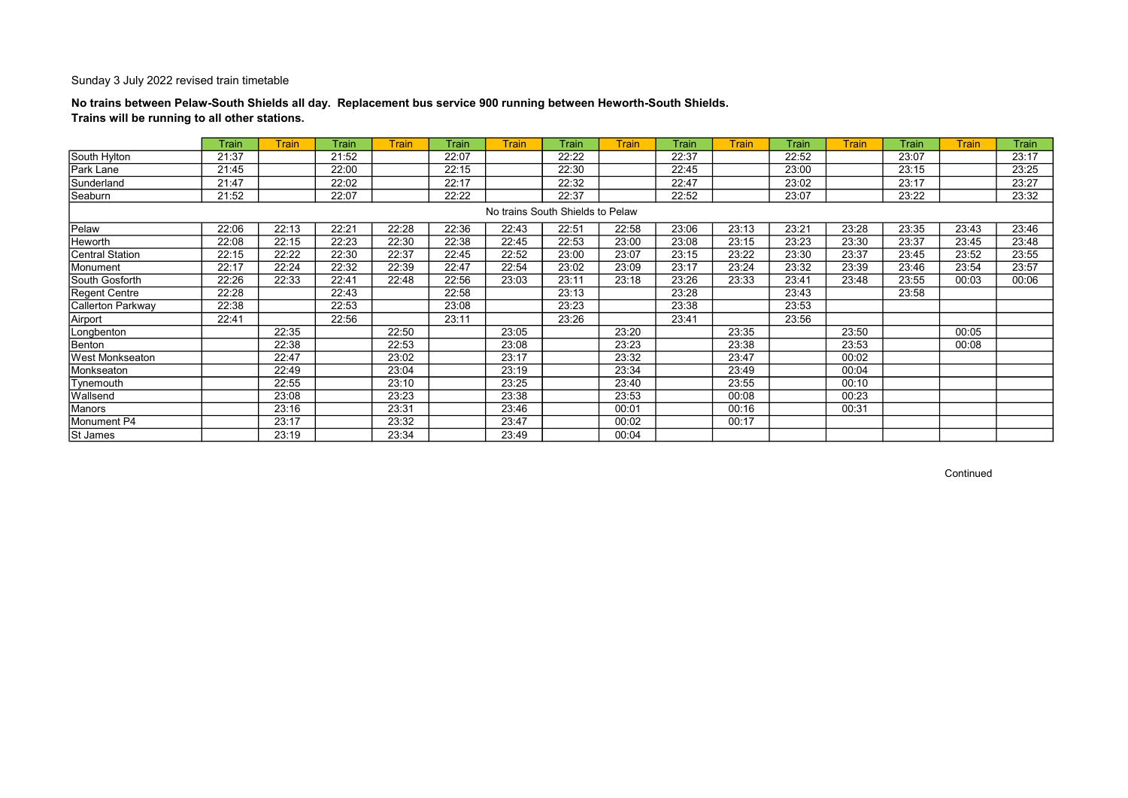## No trains between Pelaw-South Shields all day. Replacement bus service 900 running between Heworth-South Shields. Trains will be running to all other stations.

|                   | Train | <b>Train</b> | Train | <b>Train</b> | Train | <b>Train</b>                     | Train | <b>Train</b> | Train | <b>Train</b> | Train | <b>Train</b> | Train | <b>Train</b> | Train |
|-------------------|-------|--------------|-------|--------------|-------|----------------------------------|-------|--------------|-------|--------------|-------|--------------|-------|--------------|-------|
| South Hylton      | 21:37 |              | 21:52 |              | 22:07 |                                  | 22:22 |              | 22:37 |              | 22:52 |              | 23:07 |              | 23:17 |
| Park Lane         | 21:45 |              | 22:00 |              | 22:15 |                                  | 22:30 |              | 22:45 |              | 23:00 |              | 23:15 |              | 23:25 |
| Sunderland        | 21:47 |              | 22:02 |              | 22:17 |                                  | 22:32 |              | 22:47 |              | 23:02 |              | 23:17 |              | 23:27 |
| Seaburn           | 21:52 |              | 22:07 |              | 22:22 |                                  | 22:37 |              | 22:52 |              | 23:07 |              | 23:22 |              | 23:32 |
|                   |       |              |       |              |       | No trains South Shields to Pelaw |       |              |       |              |       |              |       |              |       |
| Pelaw             | 22:06 | 22:13        | 22:21 | 22:28        | 22:36 | 22:43                            | 22:51 | 22:58        | 23:06 | 23:13        | 23:21 | 23:28        | 23:35 | 23:43        | 23:46 |
| Heworth           | 22:08 | 22:15        | 22:23 | 22:30        | 22:38 | 22:45                            | 22:53 | 23:00        | 23:08 | 23:15        | 23:23 | 23:30        | 23:37 | 23:45        | 23:48 |
| Central Station   | 22:15 | 22:22        | 22:30 | 22:37        | 22:45 | 22:52                            | 23:00 | 23:07        | 23:15 | 23:22        | 23:30 | 23:37        | 23:45 | 23:52        | 23:55 |
| Monument          | 22:17 | 22:24        | 22:32 | 22:39        | 22:47 | 22:54                            | 23:02 | 23:09        | 23:17 | 23:24        | 23:32 | 23:39        | 23:46 | 23:54        | 23:57 |
| South Gosforth    | 22:26 | 22:33        | 22:41 | 22:48        | 22:56 | 23:03                            | 23:11 | 23:18        | 23:26 | 23:33        | 23:41 | 23:48        | 23:55 | 00:03        | 00:06 |
| Regent Centre     | 22:28 |              | 22:43 |              | 22:58 |                                  | 23:13 |              | 23:28 |              | 23:43 |              | 23:58 |              |       |
| Callerton Parkway | 22:38 |              | 22:53 |              | 23:08 |                                  | 23:23 |              | 23:38 |              | 23:53 |              |       |              |       |
| Airport           | 22:41 |              | 22:56 |              | 23:11 |                                  | 23:26 |              | 23:41 |              | 23:56 |              |       |              |       |
| Longbenton        |       | 22:35        |       | 22:50        |       | 23:05                            |       | 23:20        |       | 23:35        |       | 23:50        |       | 00:05        |       |
| Benton            |       | 22:38        |       | 22:53        |       | 23:08                            |       | 23:23        |       | 23:38        |       | 23:53        |       | 00:08        |       |
| West Monkseaton   |       | 22:47        |       | 23:02        |       | 23:17                            |       | 23:32        |       | 23:47        |       | 00:02        |       |              |       |
| Monkseaton        |       | 22:49        |       | 23:04        |       | 23:19                            |       | 23:34        |       | 23:49        |       | 00:04        |       |              |       |
| Tynemouth         |       | 22:55        |       | 23:10        |       | 23:25                            |       | 23:40        |       | 23:55        |       | 00:10        |       |              |       |
| Wallsend          |       | 23:08        |       | 23:23        |       | 23:38                            |       | 23:53        |       | 00:08        |       | 00:23        |       |              |       |
| Manors            |       | 23:16        |       | 23:31        |       | 23:46                            |       | 00:01        |       | 00:16        |       | 00:31        |       |              |       |
| Monument P4       |       | 23:17        |       | 23:32        |       | 23:47                            |       | 00:02        |       | 00:17        |       |              |       |              |       |
| <b>St James</b>   |       | 23:19        |       | 23:34        |       | 23:49                            |       | 00:04        |       |              |       |              |       |              |       |